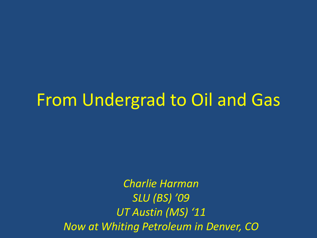# From Undergrad to Oil and Gas

*Charlie Harman SLU (BS) '09 UT Austin (MS) '11 Now at Whiting Petroleum in Denver, CO*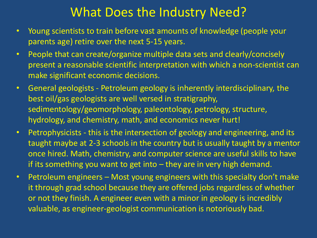## What Does the Industry Need?

- Young scientists to train before vast amounts of knowledge (people your parents age) retire over the next 5-15 years.
- People that can create/organize multiple data sets and clearly/concisely present a reasonable scientific interpretation with which a non-scientist can make significant economic decisions.
- General geologists Petroleum geology is inherently interdisciplinary, the best oil/gas geologists are well versed in stratigraphy, sedimentology/geomorphology, paleontology, petrology, structure, hydrology, and chemistry, math, and economics never hurt!
- Petrophysicists this is the intersection of geology and engineering, and its taught maybe at 2-3 schools in the country but is usually taught by a mentor once hired. Math, chemistry, and computer science are useful skills to have if its something you want to get into – they are in very high demand.
- Petroleum engineers Most young engineers with this specialty don't make it through grad school because they are offered jobs regardless of whether or not they finish. A engineer even with a minor in geology is incredibly valuable, as engineer-geologist communication is notoriously bad.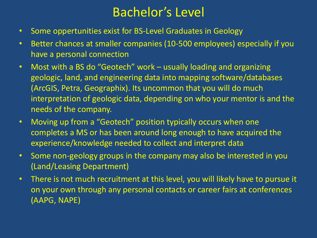## Bachelor's Level

- Some oppertunities exist for BS-Level Graduates in Geology
- Better chances at smaller companies (10-500 employees) especially if you have a personal connection
- Most with a BS do "Geotech" work usually loading and organizing geologic, land, and engineering data into mapping software/databases (ArcGIS, Petra, Geographix). Its uncommon that you will do much interpretation of geologic data, depending on who your mentor is and the needs of the company.
- Moving up from a "Geotech" position typically occurs when one completes a MS or has been around long enough to have acquired the experience/knowledge needed to collect and interpret data
- Some non-geology groups in the company may also be interested in you (Land/Leasing Department)
- There is not much recruitment at this level, you will likely have to pursue it on your own through any personal contacts or career fairs at conferences (AAPG, NAPE)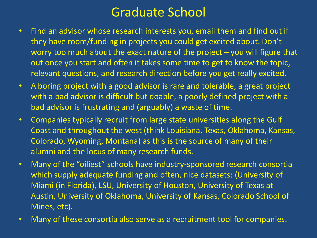## Graduate School

- Find an advisor whose research interests you, email them and find out if they have room/funding in projects you could get excited about. Don't worry too much about the exact nature of the project – you will figure that out once you start and often it takes some time to get to know the topic, relevant questions, and research direction before you get really excited.
- A boring project with a good advisor is rare and tolerable, a great project with a bad advisor is difficult but doable, a poorly defined project with a bad advisor is frustrating and (arguably) a waste of time.
- Companies typically recruit from large state universities along the Gulf Coast and throughout the west (think Louisiana, Texas, Oklahoma, Kansas, Colorado, Wyoming, Montana) as this is the source of many of their alumni and the locus of many research funds.
- Many of the "oiliest" schools have industry-sponsored research consortia which supply adequate funding and often, nice datasets: (University of Miami (in Florida), LSU, University of Houston, University of Texas at Austin, University of Oklahoma, University of Kansas, Colorado School of Mines, etc).
- Many of these consortia also serve as a recruitment tool for companies.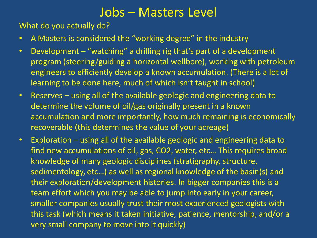#### Jobs – Masters Level

What do you actually do?

- A Masters is considered the "working degree" in the industry
- Development "watching" a drilling rig that's part of a development program (steering/guiding a horizontal wellbore), working with petroleum engineers to efficiently develop a known accumulation. (There is a lot of learning to be done here, much of which isn't taught in school)
- Reserves using all of the available geologic and engineering data to determine the volume of oil/gas originally present in a known accumulation and more importantly, how much remaining is economically recoverable (this determines the value of your acreage)
- Exploration using all of the available geologic and engineering data to find new accumulations of oil, gas, CO2, water, etc… This requires broad knowledge of many geologic disciplines (stratigraphy, structure, sedimentology, etc…) as well as regional knowledge of the basin(s) and their exploration/development histories. In bigger companies this is a team effort which you may be able to jump into early in your career, smaller companies usually trust their most experienced geologists with this task (which means it taken initiative, patience, mentorship, and/or a very small company to move into it quickly)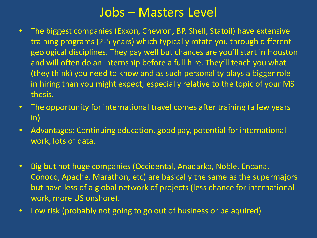#### Jobs – Masters Level

- The biggest companies (Exxon, Chevron, BP, Shell, Statoil) have extensive training programs (2-5 years) which typically rotate you through different geological disciplines. They pay well but chances are you'll start in Houston and will often do an internship before a full hire. They'll teach you what (they think) you need to know and as such personality plays a bigger role in hiring than you might expect, especially relative to the topic of your MS thesis.
- The opportunity for international travel comes after training (a few years in)
- Advantages: Continuing education, good pay, potential for international work, lots of data.
- Big but not huge companies (Occidental, Anadarko, Noble, Encana, Conoco, Apache, Marathon, etc) are basically the same as the supermajors but have less of a global network of projects (less chance for international work, more US onshore).
- Low risk (probably not going to go out of business or be aquired)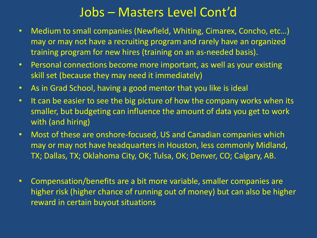## Jobs – Masters Level Cont'd

- Medium to small companies (Newfield, Whiting, Cimarex, Concho, etc…) may or may not have a recruiting program and rarely have an organized training program for new hires (training on an as-needed basis).
- Personal connections become more important, as well as your existing skill set (because they may need it immediately)
- As in Grad School, having a good mentor that you like is ideal
- It can be easier to see the big picture of how the company works when its smaller, but budgeting can influence the amount of data you get to work with (and hiring)
- Most of these are onshore-focused, US and Canadian companies which may or may not have headquarters in Houston, less commonly Midland, TX; Dallas, TX; Oklahoma City, OK; Tulsa, OK; Denver, CO; Calgary, AB.
- Compensation/benefits are a bit more variable, smaller companies are higher risk (higher chance of running out of money) but can also be higher reward in certain buyout situations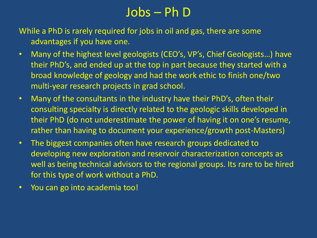## Jobs – Ph D

While a PhD is rarely required for jobs in oil and gas, there are some advantages if you have one.

- Many of the highest level geologists (CEO's, VP's, Chief Geologists...) have their PhD's, and ended up at the top in part because they started with a broad knowledge of geology and had the work ethic to finish one/two multi-year research projects in grad school.
- Many of the consultants in the industry have their PhD's, often their consulting specialty is directly related to the geologic skills developed in their PhD (do not underestimate the power of having it on one's resume, rather than having to document your experience/growth post-Masters)
- The biggest companies often have research groups dedicated to developing new exploration and reservoir characterization concepts as well as being technical advisors to the regional groups. Its rare to be hired for this type of work without a PhD.
- You can go into academia too!